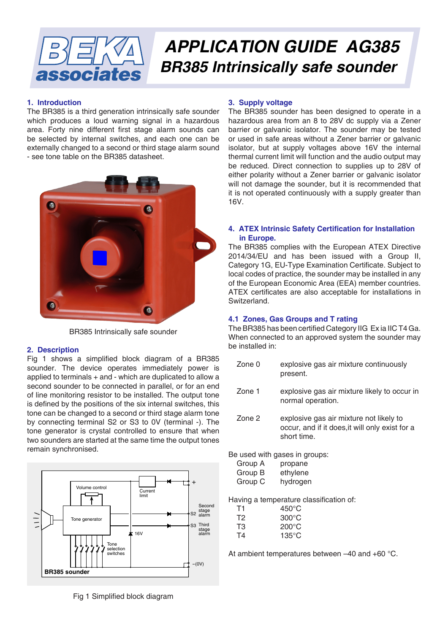

# *APPLICATION GUIDE AG385 BR385 Intrinsically safe sounder*

# **1. Introduction**

The BR385 is a third generation intrinsically safe sounder which produces a loud warning signal in a hazardous area. Forty nine different first stage alarm sounds can be selected by internal switches, and each one can be externally changed to a second or third stage alarm sound - see tone table on the BR385 datasheet.



BR385 Intrinsically safe sounder

# **2. Description**

Fig 1 shows a simplified block diagram of a BR385 sounder. The device operates immediately power is applied to terminals + and - which are duplicated to allow a second sounder to be connected in parallel, or for an end of line monitoring resistor to be installed. The output tone is defined by the positions of the six internal switches, this tone can be changed to a second or third stage alarm tone by connecting terminal S2 or S3 to 0V (terminal -). The tone generator is crystal controlled to ensure that when two sounders are started at the same time the output tones remain synchronised.



Fig 1 Simplified block diagram

# **3. Supply voltage**

The BR385 sounder has been designed to operate in a hazardous area from an 8 to 28V dc supply via a Zener barrier or galvanic isolator. The sounder may be tested or used in safe areas without a Zener barrier or galvanic isolator, but at supply voltages above 16V the internal thermal current limit will function and the audio output may be reduced. Direct connection to supplies up to 28V of either polarity without a Zener barrier or galvanic isolator will not damage the sounder, but it is recommended that it is not operated continuously with a supply greater than 16V.

# **4. ATEX Intrinsic Safety Certification for Installation in Europe.**

The BR385 complies with the European ATEX Directive 2014/34/EU and has been issued with a Group II, Category 1G, EU-Type Examination Certificate. Subject to local codes of practice, the sounder may be installed in any of the European Economic Area (EEA) member countries. ATEX certificates are also acceptable for installations in Switzerland.

# **4.1 Zones, Gas Groups and T rating**

The BR385 has been certified Category IIG Ex ia IIC T4 Ga. When connected to an approved system the sounder may be installed in:

Zone 0 explosive gas air mixture continuously present. Zone 1 explosive gas air mixture likely to occur in normal operation. Zone 2 explosive gas air mixture not likely to occur, and if it does,it will only exist for a short time.

Be used with gases in groups:

| Group A | propane  |
|---------|----------|
| Group B | ethylene |
| Group C | hydrogen |

Having a temperature classification of:

| Τ1 | $450^{\circ}$ C |
|----|-----------------|
| T2 | $300^{\circ}$ C |
| T3 | $200^{\circ}$ C |
| Т4 | $135^{\circ}$ C |

At ambient temperatures between –40 and +60 °C.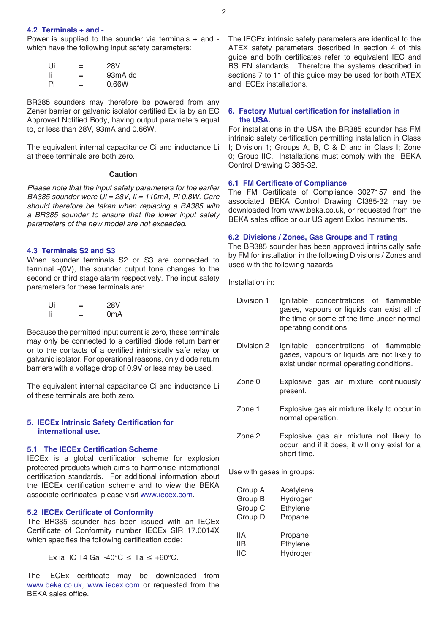# **4.2 Terminals + and -**

Power is supplied to the sounder via terminals + and which have the following input safety parameters:

| Ui | = | 28V                  |
|----|---|----------------------|
| Ιi | = | 93 <sub>m</sub> A dc |
| Pi | = | 0.66W                |

BR385 sounders may therefore be powered from any Zener barrier or galvanic isolator certified Ex ia by an EC Approved Notified Body, having output parameters equal to, or less than 28V, 93mA and 0.66W.

The equivalent internal capacitance Ci and inductance Li at these terminals are both zero.

# **Caution**

*Please note that the input safety parameters for the earlier BA385 sounder were Ui = 28V, Ii = 110mA, Pi 0.8W. Care should therefore be taken when replacing a BA385 with a BR385 sounder to ensure that the lower input safety parameters of the new model are not exceeded.*

## **4.3 Terminals S2 and S3**

When sounder terminals S2 or S3 are connected to terminal -(0V), the sounder output tone changes to the second or third stage alarm respectively. The input safety parameters for these terminals are:

| Ui  | -<br>= | <b>28V</b>       |
|-----|--------|------------------|
| -li | =      | 0 <sub>m</sub> A |

Because the permitted input current is zero, these terminals may only be connected to a certified diode return barrier or to the contacts of a certified intrinsically safe relay or galvanic isolator. For operational reasons, only diode return barriers with a voltage drop of 0.9V or less may be used.

The equivalent internal capacitance Ci and inductance Li of these terminals are both zero.

## **5. IECEx Intrinsic Safety Certification for international use.**

# **5.1 The IECEx Certification Scheme**

IECEx is a global certification scheme for explosion protected products which aims to harmonise international certification standards. For additional information about the IECEx certification scheme and to view the BEKA associate certificates, please visit [www.iecex.com](http://www.iecex.com).

#### **5.2 IECEx Certificate of Conformity**

The BR385 sounder has been issued with an IECEx Certificate of Conformity number IECEx SIR 17.0014X which specifies the following certification code:

Ex ia IIC T4 Ga  $-40^{\circ}$ C  $\leq$  Ta  $\leq$   $+60^{\circ}$ C.

The IECEx certificate may be downloaded from [www.beka.co.uk](http://www.beka.co.uk), [www.iecex.com](http://www.iecex.com) or requested from the BEKA sales office.

The IECEx intrinsic safety parameters are identical to the ATEX safety parameters described in section 4 of this guide and both certificates refer to equivalent IEC and BS EN standards. Therefore the systems described in sections 7 to 11 of this guide may be used for both ATEX and IECEx installations.

# **6. Factory Mutual certification for installation in the USA.**

For installations in the USA the BR385 sounder has FM intrinsic safety certification permitting installation in Class I; Division 1; Groups A, B, C & D and in Class I; Zone 0; Group IIC. Installations must comply with the BEKA Control Drawing CI385-32.

#### **6.1 FM Certificate of Compliance**

The FM Certificate of Compliance 3027157 and the associated BEKA Control Drawing CI385-32 may be downloaded from www.beka.co.uk, or requested from the BEKA sales office or our US agent Exloc Instruments.

# **6.2 Divisions / Zones, Gas Groups and T rating**

The BR385 sounder has been approved intrinsically safe by FM for installation in the following Divisions / Zones and used with the following hazards.

Installation in:

- Division 1 Ignitable concentrations of flammable gases, vapours or liquids can exist all of the time or some of the time under normal operating conditions.
- Division 2 Ignitable concentrations of flammable gases, vapours or liquids are not likely to exist under normal operating conditions.
- Zone 0 Explosive gas air mixture continuously present.
- Zone 1 Explosive gas air mixture likely to occur in normal operation.
- Zone 2 Explosive gas air mixture not likely to occur, and if it does, it will only exist for a short time.

Use with gases in groups:

| Group A | Acetylene |
|---------|-----------|
| Group B | Hydrogen  |
| Group C | Ethylene  |
| Group D | Propane   |
|         |           |
|         |           |
| llA.    | Propane   |
| IIВ     | Ethylene  |
| IIС     | Hydrogen  |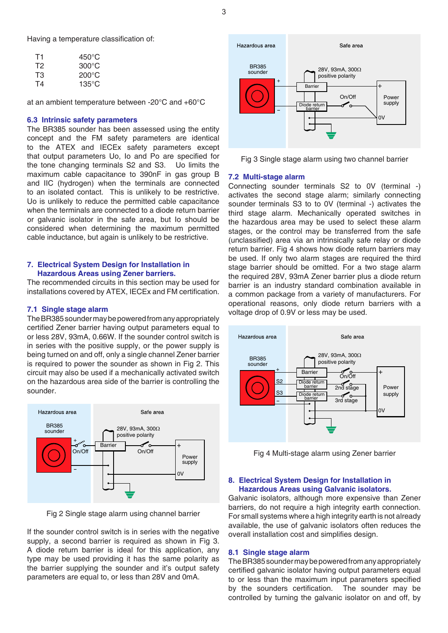Having a temperature classification of:

| T1 | 450°C           |
|----|-----------------|
| T2 | $300^{\circ}$ C |
| T3 | $200^{\circ}$ C |
| T4 | $135^{\circ}$ C |

at an ambient temperature between -20°C and +60°C

#### **6.3 Intrinsic safety parameters**

The BR385 sounder has been assessed using the entity concept and the FM safety parameters are identical to the ATEX and IECEx safety parameters except that output parameters Uo, Io and Po are specified for the tone changing terminals S2 and S3. Uo limits the maximum cable capacitance to 390nF in gas group B and IIC (hydrogen) when the terminals are connected to an isolated contact. This is unlikely to be restrictive. Uo is unlikely to reduce the permitted cable capacitance when the terminals are connected to a diode return barrier or galvanic isolator in the safe area, but Io should be considered when determining the maximum permitted cable inductance, but again is unlikely to be restrictive.

# **7. Electrical System Design for Installation in Hazardous Areas using Zener barriers.**

The recommended circuits in this section may be used for installations covered by ATEX, IECEx and FM certification.

#### **7.1 Single stage alarm**

The BR385 sounder may be powered from any appropriately certified Zener barrier having output parameters equal to or less 28V, 93mA, 0.66W. If the sounder control switch is in series with the positive supply, or the power supply is being turned on and off, only a single channel Zener barrier is required to power the sounder as shown in Fig 2. This circuit may also be used if a mechanically activated switch on the hazardous area side of the barrier is controlling the sounder.



Fig 2 Single stage alarm using channel barrier

If the sounder control switch is in series with the negative supply, a second barrier is required as shown in Fig 3. A diode return barrier is ideal for this application, any type may be used providing it has the same polarity as the barrier supplying the sounder and it's output safety parameters are equal to, or less than 28V and 0mA.



Fig 3 Single stage alarm using two channel barrier

#### **7.2 Multi-stage alarm**

Connecting sounder terminals S2 to 0V (terminal -) activates the second stage alarm; similarly connecting sounder terminals S3 to to 0V (terminal -) activates the third stage alarm. Mechanically operated switches in the hazardous area may be used to select these alarm stages, or the control may be transferred from the safe (unclassified) area via an intrinsically safe relay or diode return barrier. Fig 4 shows how diode return barriers may be used. If only two alarm stages are required the third stage barrier should be omitted. For a two stage alarm the required 28V, 93mA Zener barrier plus a diode return barrier is an industry standard combination available in a common package from a variety of manufacturers. For operational reasons, only diode return barriers with a voltage drop of 0.9V or less may be used.



Fig 4 Multi-stage alarm using Zener barrier

# **8. Electrical System Design for Installation in Hazardous Areas using Galvanic isolators.**

Galvanic isolators, although more expensive than Zener barriers, do not require a high integrity earth connection. For small systems where a high integrity earth is not already available, the use of galvanic isolators often reduces the overall installation cost and simplifies design.

## **8.1 Single stage alarm**

The BR385 sounder may be powered from any appropriately certified galvanic isolator having output parameters equal to or less than the maximum input parameters specified by the sounders certification. The sounder may be controlled by turning the galvanic isolator on and off, by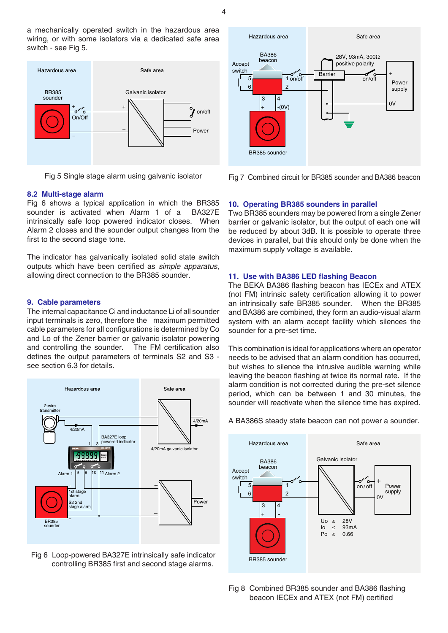4

a mechanically operated switch in the hazardous area wiring, or with some isolators via a dedicated safe area switch - see Fig 5.



Fig 5 Single stage alarm using galvanic isolator

# **8.2 Multi-stage alarm**

Fig 6 shows a typical application in which the BR385 sounder is activated when Alarm 1 of a BA327E intrinsically safe loop powered indicator closes. When Alarm 2 closes and the sounder output changes from the first to the second stage tone.

The indicator has galvanically isolated solid state switch outputs which have been certified as *simple apparatus*, allowing direct connection to the BR385 sounder.

#### **9. Cable parameters**

The internal capacitance Ci and inductance Li of all sounder input terminals is zero, therefore the maximum permitted cable parameters for all configurations is determined by Co and Lo of the Zener barrier or galvanic isolator powering and controlling the sounder. The FM certification also defines the output parameters of terminals S2 and S3 see section 6.3 for details.



Fig 6 Loop-powered BA327E intrinsically safe indicator controlling BR385 first and second stage alarms.



Fig 7 Combined circuit for BR385 sounder and BA386 beacon

# **10. Operating BR385 sounders in parallel**

Two BR385 sounders may be powered from a single Zener barrier or galvanic isolator, but the output of each one will be reduced by about 3dB. It is possible to operate three devices in parallel, but this should only be done when the maximum supply voltage is available.

# **11. Use with BA386 LED flashing Beacon**

The BEKA BA386 flashing beacon has IECEx and ATEX (not FM) intrinsic safety certification allowing it to power an intrinsically safe BR385 sounder. When the BR385 and BA386 are combined, they form an audio-visual alarm system with an alarm accept facility which silences the sounder for a pre-set time.

This combination is ideal for applications where an operator needs to be advised that an alarm condition has occurred, but wishes to silence the intrusive audible warning while leaving the beacon flashing at twice its normal rate. If the alarm condition is not corrected during the pre-set silence period, which can be between 1 and 30 minutes, the sounder will reactivate when the silence time has expired.

# A BA386S steady state beacon can not power a sounder.



Fig 8 Combined BR385 sounder and BA386 flashing beacon IECEx and ATEX (not FM) certified